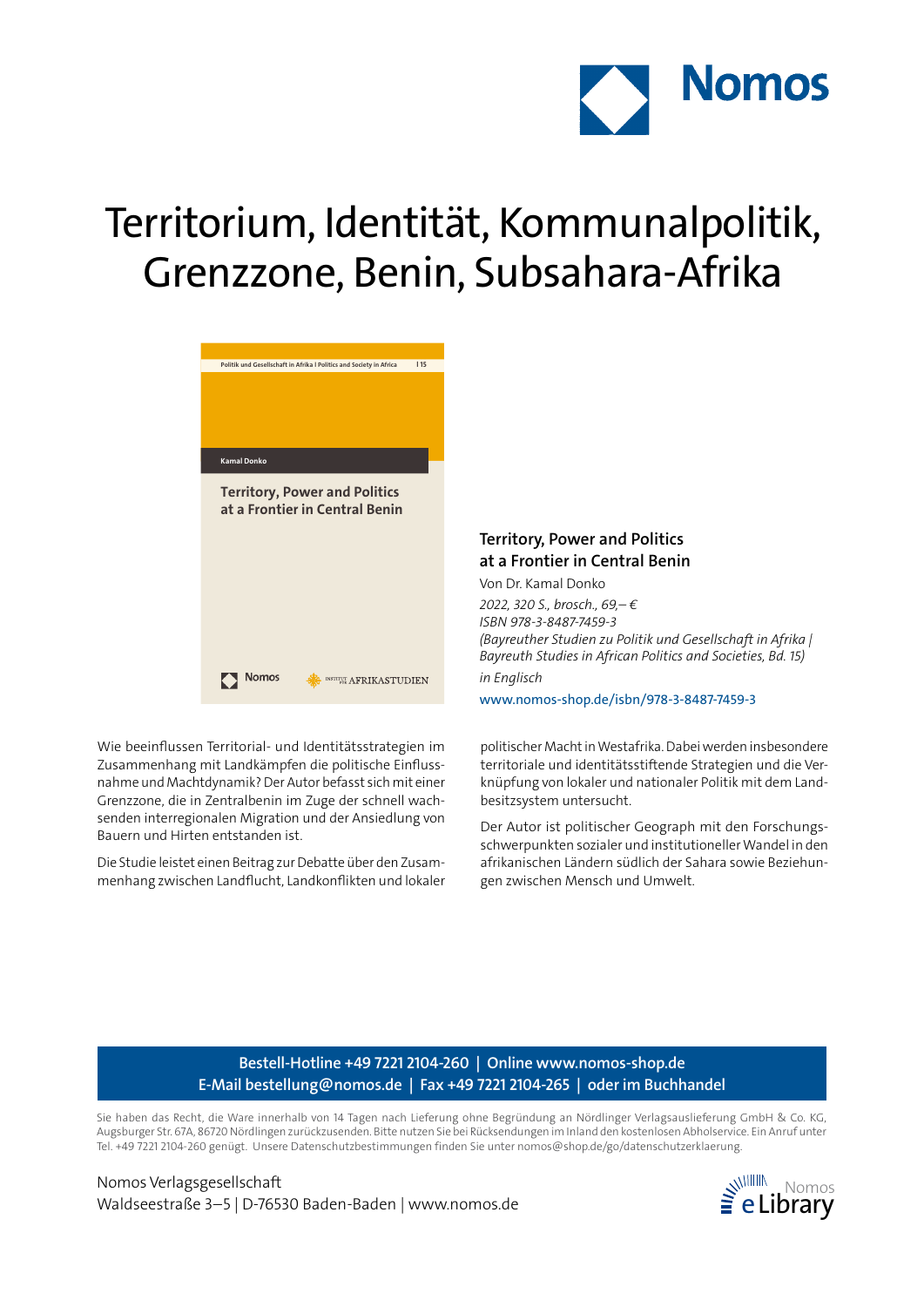

# Territorium, Identität, Kommunalpolitik, Grenzzone, Benin, Subsahara-Afrika



Wie beeinflussen Territorial- und Identitätsstrategien im Zusammenhang mit Landkämpfen die politische Einflussnahme und Machtdynamik? Der Autor befasst sich mit einer Grenzzone, die in Zentralbenin im Zuge der schnell wachsenden interregionalen Migration und der Ansiedlung von Bauern und Hirten entstanden ist.

Die Studie leistet einen Beitrag zur Debatte über den Zusammenhang zwischen Landflucht, Landkonflikten und lokaler

### **Territory, Power and Politics at a Frontier in Central Benin**

Von Dr. Kamal Donko

*2022, 320 S., brosch., 69,– € ISBN 978-3-8487-7459-3 (Bayreuther Studien zu Politik und Gesellschaft in Afrika | Bayreuth Studies in African Politics and Societies, Bd. 15) in Englisch*

www.nomos-shop.de/isbn/978-3-8487-7459-3

politischer Macht in Westafrika. Dabei werden insbesondere territoriale und identitätsstiftende Strategien und die Verknüpfung von lokaler und nationaler Politik mit dem Landbesitzsystem untersucht.

Der Autor ist politischer Geograph mit den Forschungsschwerpunkten sozialer und institutioneller Wandel in den afrikanischen Ländern südlich der Sahara sowie Beziehungen zwischen Mensch und Umwelt.

### **Bestell-Hotline +49 7221 2104-260 | Online www.nomos-shop.de E-Mail bestellung@nomos.de | Fax +49 7221 2104-265 | oder im Buchhandel**

Sie haben das Recht, die Ware innerhalb von 14 Tagen nach Lieferung ohne Begründung an Nördlinger Verlagsauslieferung GmbH & Co. KG, Augsburger Str. 67A, 86720 Nördlingen zurückzusenden. Bitte nutzen Sie bei Rücksendungen im Inland den kostenlosen Abholservice. Ein Anruf unter Tel. +49 7221 2104-260 genügt. Unsere Datenschutzbestimmungen finden Sie unter nomos@shop.de/go/datenschutzerklaerung.

Nomos Verlagsgesellschaft Waldseestraße 3–5 | D-76530 Baden-Baden | www.nomos.de  $\geq$  eLibrary